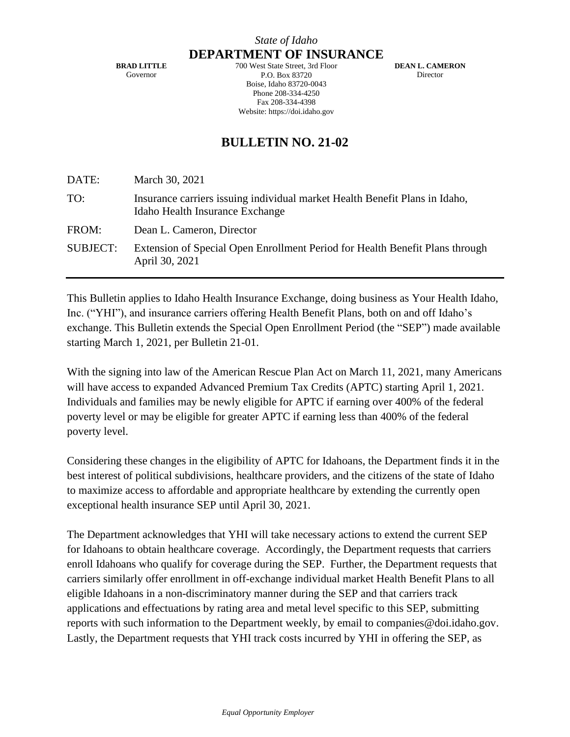**BRAD LITTLE** Governor

**DEPARTMENT OF INSURANCE** 700 West State Street, 3rd Floor P.O. Box 83720 Boise, Idaho 83720-0043 Phone 208-334-4250 Fax 208-334-4398 Website: https://doi.idaho.gov

**DEAN L. CAMERON** Director

## **BULLETIN NO. 21-02**

DATE: March 30, 2021

| TO:      | Insurance carriers issuing individual market Health Benefit Plans in Idaho,<br>Idaho Health Insurance Exchange |
|----------|----------------------------------------------------------------------------------------------------------------|
| FROM:    | Dean L. Cameron, Director                                                                                      |
| SUBJECT: | Extension of Special Open Enrollment Period for Health Benefit Plans through<br>April 30, 2021                 |

This Bulletin applies to Idaho Health Insurance Exchange, doing business as Your Health Idaho, Inc. ("YHI"), and insurance carriers offering Health Benefit Plans, both on and off Idaho's exchange. This Bulletin extends the Special Open Enrollment Period (the "SEP") made available starting March 1, 2021, per Bulletin 21-01.

With the signing into law of the American Rescue Plan Act on March 11, 2021, many Americans will have access to expanded Advanced Premium Tax Credits (APTC) starting April 1, 2021. Individuals and families may be newly eligible for APTC if earning over 400% of the federal poverty level or may be eligible for greater APTC if earning less than 400% of the federal poverty level.

Considering these changes in the eligibility of APTC for Idahoans, the Department finds it in the best interest of political subdivisions, healthcare providers, and the citizens of the state of Idaho to maximize access to affordable and appropriate healthcare by extending the currently open exceptional health insurance SEP until April 30, 2021.

The Department acknowledges that YHI will take necessary actions to extend the current SEP for Idahoans to obtain healthcare coverage. Accordingly, the Department requests that carriers enroll Idahoans who qualify for coverage during the SEP. Further, the Department requests that carriers similarly offer enrollment in off-exchange individual market Health Benefit Plans to all eligible Idahoans in a non-discriminatory manner during the SEP and that carriers track applications and effectuations by rating area and metal level specific to this SEP, submitting reports with such information to the Department weekly, by email to companies@doi.idaho.gov. Lastly, the Department requests that YHI track costs incurred by YHI in offering the SEP, as